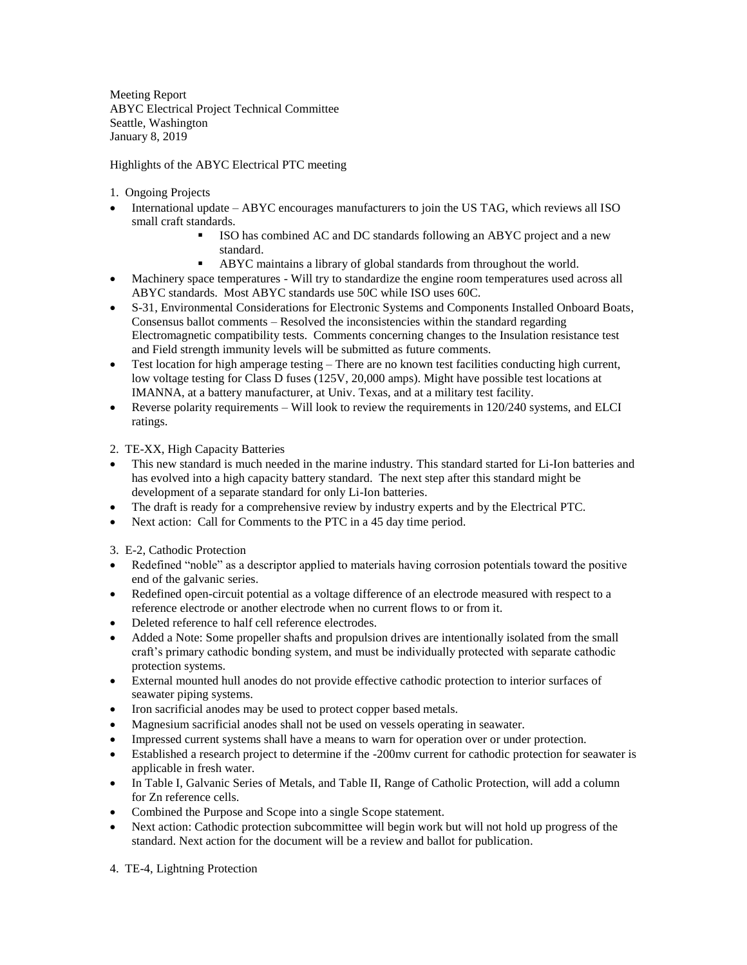Meeting Report ABYC Electrical Project Technical Committee Seattle, Washington January 8, 2019

Highlights of the ABYC Electrical PTC meeting

- 1. Ongoing Projects
- International update ABYC encourages manufacturers to join the US TAG, which reviews all ISO small craft standards.
	- ISO has combined AC and DC standards following an ABYC project and a new standard.
		- ABYC maintains a library of global standards from throughout the world.
- Machinery space temperatures Will try to standardize the engine room temperatures used across all ABYC standards. Most ABYC standards use 50C while ISO uses 60C.
- S-31, [Environmental Considerations for Electronic Systems and Components Installed Onboard Boats,](javascript:;) Consensus ballot comments – Resolved the inconsistencies within the standard regarding Electromagnetic compatibility tests. Comments concerning changes to the Insulation resistance test and Field strength immunity levels will be submitted as future comments.
- Test location for high amperage testing There are no known test facilities conducting high current, low voltage testing for Class D fuses (125V, 20,000 amps). Might have possible test locations at IMANNA, at a battery manufacturer, at Univ. Texas, and at a military test facility.
- Everse polarity requirements Will look to review the requirements in  $120/240$  systems, and ELCI ratings.

2. TE-XX, High Capacity Batteries

- This new standard is much needed in the marine industry. This standard started for Li-Ion batteries and has evolved into a high capacity battery standard. The next step after this standard might be development of a separate standard for only Li-Ion batteries.
- The draft is ready for a comprehensive review by industry experts and by the Electrical PTC.
- Next action: Call for Comments to the PTC in a 45 day time period.

3. E-2, Cathodic Protection

- Redefined "noble" as a descriptor applied to materials having corrosion potentials toward the positive end of the galvanic series.
- Redefined open-circuit potential as a voltage difference of an electrode measured with respect to a reference electrode or another electrode when no current flows to or from it.
- Deleted reference to half cell reference electrodes.
- Added a Note: Some propeller shafts and propulsion drives are intentionally isolated from the small craft's primary cathodic bonding system, and must be individually protected with separate cathodic protection systems.
- External mounted hull anodes do not provide effective cathodic protection to interior surfaces of seawater piping systems.
- Iron sacrificial anodes may be used to protect copper based metals.
- Magnesium sacrificial anodes shall not be used on vessels operating in seawater.
- Impressed current systems shall have a means to warn for operation over or under protection.
- Established a research project to determine if the -200mv current for cathodic protection for seawater is applicable in fresh water.
- In Table I, Galvanic Series of Metals, and Table II, Range of Catholic Protection, will add a column for Zn reference cells.
- Combined the Purpose and Scope into a single Scope statement.
- Next action: Cathodic protection subcommittee will begin work but will not hold up progress of the standard. Next action for the document will be a review and ballot for publication.
- 4. TE-4, Lightning Protection